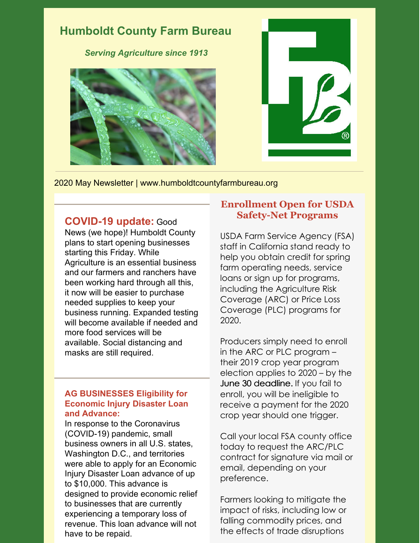

2020 May Newsletter | www.humboldtcountyfarmbureau.org

### **COVID-19 update:** Good

News (we hope)! Humboldt County plans to start opening businesses starting this Friday. While Agriculture is an essential business and our farmers and ranchers have been working hard through all this, it now will be easier to purchase needed supplies to keep your business running. Expanded testing will become available if needed and more food services will be available. Social distancing and masks are still required.

#### **AG BUSINESSES Eligibility for Economic Injury Disaster Loan and Advance:**

In response to the Coronavirus (COVID-19) pandemic, small business owners in all U.S. states, Washington D.C., and territories were able to apply for an Economic Injury Disaster Loan advance of up to \$10,000. This advance is designed to provide economic relief to businesses that are currently experiencing a temporary loss of revenue. This loan advance will not have to be repaid.

#### **Enrollment Open for USDA Safety-Net Programs**

USDA Farm Service Agency (FSA) staff in California stand ready to help you obtain credit for spring farm operating needs, service loans or sign up for programs, including the Agriculture Risk Coverage (ARC) or Price Loss Coverage (PLC) programs for 2020.

Producers simply need to enroll in the ARC or PLC program – their 2019 crop year program election applies to 2020 – by the June 30 deadline. If you fail to enroll, you will be ineligible to receive a payment for the 2020 crop year should one trigger.

Call your local FSA county office today to request the ARC/PLC contract for signature via mail or email, depending on your preference.

Farmers looking to mitigate the impact of risks, including low or falling commodity prices, and the effects of trade disruptions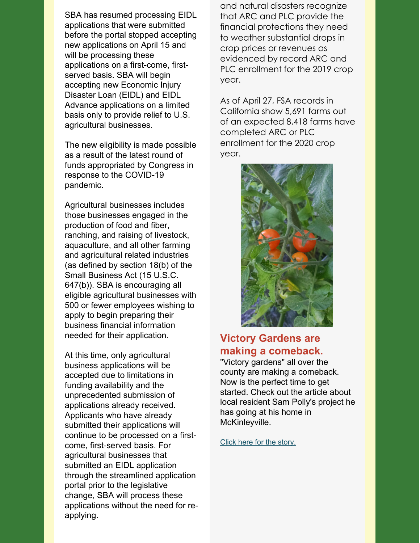SBA has resumed processing EIDL applications that were submitted before the portal stopped accepting new applications on April 15 and will be processing these applications on a first-come, firstserved basis. SBA will begin accepting new Economic Injury Disaster Loan (EIDL) and EIDL Advance applications on a limited basis only to provide relief to U.S. agricultural businesses.

The new eligibility is made possible as a result of the latest round of funds appropriated by Congress in response to the COVID-19 pandemic.

Agricultural businesses includes those businesses engaged in the production of food and fiber, ranching, and raising of livestock, aquaculture, and all other farming and agricultural related industries (as defined by section 18(b) of the Small Business Act (15 U.S.C. 647(b)). SBA is encouraging all eligible agricultural businesses with 500 or fewer employees wishing to apply to begin preparing their business financial information needed for their application.

At this time, only agricultural business applications will be accepted due to limitations in funding availability and the unprecedented submission of applications already received. Applicants who have already submitted their applications will continue to be processed on a firstcome, first-served basis. For agricultural businesses that submitted an EIDL application through the streamlined application portal prior to the legislative change, SBA will process these applications without the need for reapplying.

and natural disasters recognize that ARC and PLC provide the financial protections they need to weather substantial drops in crop prices or revenues as evidenced by record ARC and PLC enrollment for the 2019 crop year.

As of April 27, FSA records in California show 5,691 farms out of an expected 8,418 farms have completed ARC or PLC enrollment for the 2020 crop year.



## **Victory Gardens are making a comeback.**

"Victory gardens" all over the county are making a comeback. Now is the perfect time to get started. Check out the article about local resident Sam Polly's project he has going at his home in McKinleyville.

Click here for the [story.](https://lostcoastoutpost.com/2020/may/5/victory-garden-revival/)